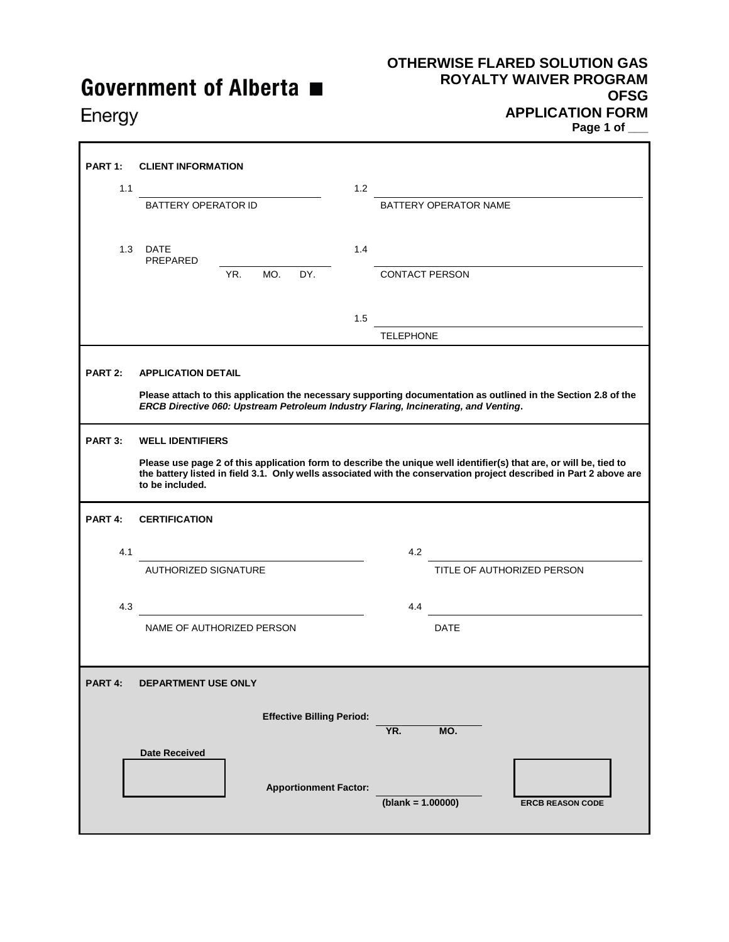# Government of Alberta ■

### **OTHERWISE FLARED SOLUTION GAS ROYALTY WAIVER PROGRAM OFSG APPLICATION FORM Page 1 of \_\_\_**

Energy

| PART <sub>1:</sub>  | <b>CLIENT INFORMATION</b>                                                                                                                                                                                                                                   |     |     |                                  |                       |                            |             |  |  |  |  |
|---------------------|-------------------------------------------------------------------------------------------------------------------------------------------------------------------------------------------------------------------------------------------------------------|-----|-----|----------------------------------|-----------------------|----------------------------|-------------|--|--|--|--|
| 1.1                 |                                                                                                                                                                                                                                                             |     |     |                                  | 1.2                   |                            |             |  |  |  |  |
|                     | <b>BATTERY OPERATOR ID</b>                                                                                                                                                                                                                                  |     |     |                                  | BATTERY OPERATOR NAME |                            |             |  |  |  |  |
| 1.3                 | DATE<br>PREPARED                                                                                                                                                                                                                                            |     |     |                                  | 1.4                   |                            |             |  |  |  |  |
|                     |                                                                                                                                                                                                                                                             | YR. | MO. | DY.                              |                       | <b>CONTACT PERSON</b>      |             |  |  |  |  |
|                     |                                                                                                                                                                                                                                                             |     |     |                                  | 1.5                   |                            |             |  |  |  |  |
|                     |                                                                                                                                                                                                                                                             |     |     |                                  |                       | <b>TELEPHONE</b>           |             |  |  |  |  |
| PART 2:             | <b>APPLICATION DETAIL</b><br>Please attach to this application the necessary supporting documentation as outlined in the Section 2.8 of the<br>ERCB Directive 060: Upstream Petroleum Industry Flaring, Incinerating, and Venting.                          |     |     |                                  |                       |                            |             |  |  |  |  |
| PART 3:             | <b>WELL IDENTIFIERS</b>                                                                                                                                                                                                                                     |     |     |                                  |                       |                            |             |  |  |  |  |
|                     | Please use page 2 of this application form to describe the unique well identifier(s) that are, or will be, tied to<br>the battery listed in field 3.1. Only wells associated with the conservation project described in Part 2 above are<br>to be included. |     |     |                                  |                       |                            |             |  |  |  |  |
| PART <sub>4</sub> : | <b>CERTIFICATION</b>                                                                                                                                                                                                                                        |     |     |                                  |                       |                            |             |  |  |  |  |
| 4.1                 |                                                                                                                                                                                                                                                             |     |     |                                  |                       | 4.2                        |             |  |  |  |  |
|                     | <b>AUTHORIZED SIGNATURE</b>                                                                                                                                                                                                                                 |     |     |                                  |                       | TITLE OF AUTHORIZED PERSON |             |  |  |  |  |
| 4.3                 |                                                                                                                                                                                                                                                             |     |     |                                  |                       | 4.4                        |             |  |  |  |  |
|                     | NAME OF AUTHORIZED PERSON                                                                                                                                                                                                                                   |     |     |                                  |                       |                            | <b>DATE</b> |  |  |  |  |
| PART 4:             | DEPARTMENT USE ONLY                                                                                                                                                                                                                                         |     |     |                                  |                       |                            |             |  |  |  |  |
|                     |                                                                                                                                                                                                                                                             |     |     | <b>Effective Billing Period:</b> |                       | YR.                        | MO.         |  |  |  |  |
|                     | <b>Date Received</b>                                                                                                                                                                                                                                        |     |     | <b>Apportionment Factor:</b>     |                       | $(blank = 1.00000)$        |             |  |  |  |  |